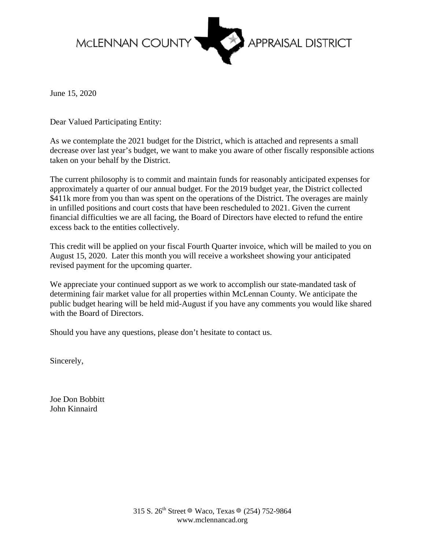

June 15, 2020

Dear Valued Participating Entity:

As we contemplate the 2021 budget for the District, which is attached and represents a small decrease over last year's budget, we want to make you aware of other fiscally responsible actions taken on your behalf by the District.

The current philosophy is to commit and maintain funds for reasonably anticipated expenses for approximately a quarter of our annual budget. For the 2019 budget year, the District collected \$411k more from you than was spent on the operations of the District. The overages are mainly in unfilled positions and court costs that have been rescheduled to 2021. Given the current financial difficulties we are all facing, the Board of Directors have elected to refund the entire excess back to the entities collectively.

This credit will be applied on your fiscal Fourth Quarter invoice, which will be mailed to you on August 15, 2020. Later this month you will receive a worksheet showing your anticipated revised payment for the upcoming quarter.

We appreciate your continued support as we work to accomplish our state-mandated task of determining fair market value for all properties within McLennan County. We anticipate the public budget hearing will be held mid-August if you have any comments you would like shared with the Board of Directors.

Should you have any questions, please don't hesitate to contact us.

Sincerely,

Joe Don Bobbitt John Kinnaird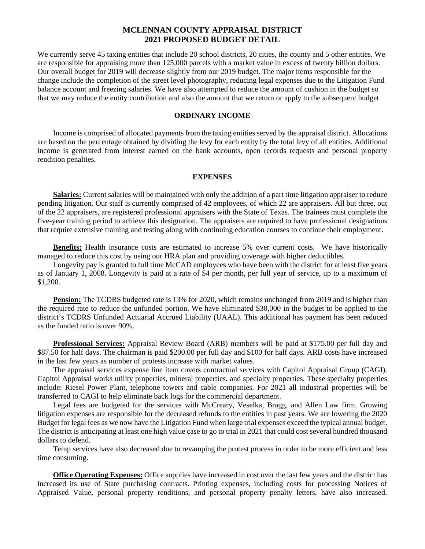### **MCLENNAN COUNTY APPRAISAL DISTRICT 2021 PROPOSED BUDGET DETAIL**

We currently serve 45 taxing entities that include 20 school districts, 20 cities, the county and 5 other entities. We are responsible for appraising more than 125,000 parcels with a market value in excess of twenty billion dollars. Our overall budget for 2019 will decrease slightly from our 2019 budget. The major items responsible for the change include the completion of the street level photography, reducing legal expenses due to the Litigation Fund balance account and freezing salaries. We have also attempted to reduce the amount of cushion in the budget so that we may reduce the entity contribution and also the amount that we return or apply to the subsequent budget.

### **ORDINARY INCOME**

Income is comprised of allocated payments from the taxing entities served by the appraisal district. Allocations are based on the percentage obtained by dividing the levy for each entity by the total levy of all entities. Additional income is generated from interest earned on the bank accounts, open records requests and personal property rendition penalties.

### **EXPENSES**

**Salaries:** Current salaries will be maintained with only the addition of a part time litigation appraiser to reduce pending litigation. Our staff is currently comprised of 42 employees, of which 22 are appraisers. All but three, out of the 22 appraisers, are registered professional appraisers with the State of Texas. The trainees must complete the five-year training period to achieve this designation. The appraisers are required to have professional designations that require extensive training and testing along with continuing education courses to continue their employment.

**Benefits:** Health insurance costs are estimated to increase 5% over current costs. We have historically managed to reduce this cost by using our HRA plan and providing coverage with higher deductibles.

Longevity pay is granted to full time McCAD employees who have been with the district for at least five years as of January 1, 2008. Longevity is paid at a rate of \$4 per month, per full year of service, up to a maximum of \$1,200.

**Pension:** The TCDRS budgeted rate is 13% for 2020, which remains unchanged from 2019 and is higher than the required rate to reduce the unfunded portion. We have eliminated \$30,000 in the budget to be applied to the district's TCDRS Unfunded Actuarial Accrued Liability (UAAL). This additional has payment has been reduced as the funded ratio is over 90%.

**Professional Services:** Appraisal Review Board (ARB) members will be paid at \$175.00 per full day and \$87.50 for half days. The chairman is paid \$200.00 per full day and \$100 for half days. ARB costs have increased in the last few years as number of protests increase with market values.

The appraisal services expense line item covers contractual services with Capitol Appraisal Group (CAGI). Capitol Appraisal works utility properties, mineral properties, and specialty properties. These specialty properties include: Riesel Power Plant, telephone towers and cable companies. For 2021 all industrial properties will be transferred to CAGI to help eliminate back logs for the commercial department.

Legal fees are budgeted for the services with McCreary, Veselka, Bragg, and Allen Law firm. Growing litigation expenses are responsible for the decreased refunds to the entities in past years. We are lowering the 2020 Budget for legal fees as we now have the Litigation Fund when large trial expenses exceed the typical annual budget. The district is anticipating at least one high value case to go to trial in 2021 that could cost several hundred thousand dollars to defend.

Temp services have also decreased due to revamping the protest process in order to be more efficient and less time consuming.

**Office Operating Expenses:** Office supplies have increased in cost over the last few years and the district has increased its use of State purchasing contracts. Printing expenses, including costs for processing Notices of Appraised Value, personal property renditions, and personal property penalty letters, have also increased.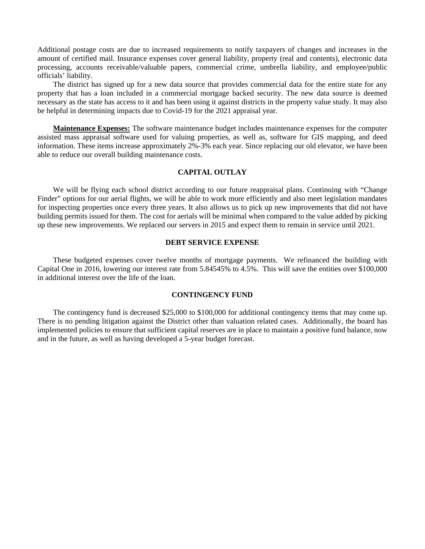Additional postage costs are due to increased requirements to notify taxpayers of changes and increases in the amount of certified mail. Insurance expenses cover general liability, property (real and contents), electronic data processing, accounts receivable/valuable papers, commercial crime, umbrella liability, and employee/public officials' liability.

The district has signed up for a new data source that provides commercial data for the entire state for any property that has a loan included in a commercial mortgage backed security. The new data source is deemed necessary as the state has access to it and has been using it against districts in the property value study. It may also be helpful in determining impacts due to Covid-19 for the 2021 appraisal year.

**Maintenance Expenses:** The software maintenance budget includes maintenance expenses for the computer assisted mass appraisal software used for valuing properties, as well as, software for GIS mapping, and deed information. These items increase approximately 2%-3% each year. Since replacing our old elevator, we have been able to reduce our overall building maintenance costs.

### **CAPITAL OUTLAY**

We will be flying each school district according to our future reappraisal plans. Continuing with "Change Finder" options for our aerial flights, we will be able to work more efficiently and also meet legislation mandates for inspecting properties once every three years. It also allows us to pick up new improvements that did not have building permits issued for them. The cost for aerials will be minimal when compared to the value added by picking up these new improvements. We replaced our servers in 2015 and expect them to remain in service until 2021.

### **DEBT SERVICE EXPENSE**

These budgeted expenses cover twelve months of mortgage payments. We refinanced the building with Capital One in 2016, lowering our interest rate from 5.84545% to 4.5%. This will save the entities over \$100,000 in additional interest over the life of the loan.

### **CONTINGENCY FUND**

The contingency fund is decreased \$25,000 to \$100,000 for additional contingency items that may come up. There is no pending litigation against the District other than valuation related cases. Additionally, the board has implemented policies to ensure that sufficient capital reserves are in place to maintain a positive fund balance, now and in the future, as well as having developed a 5-year budget forecast.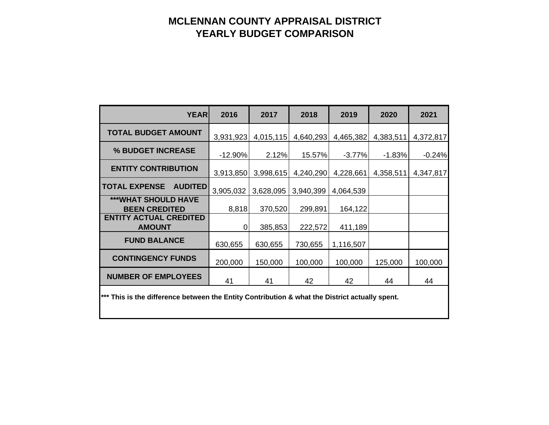# **MCLENNAN COUNTY APPRAISAL DISTRICT YEARLY BUDGET COMPARISON**

| <b>YEAR</b>                                                                                    | 2016      | 2017      | 2018      | 2019      | 2020      | 2021      |  |  |  |
|------------------------------------------------------------------------------------------------|-----------|-----------|-----------|-----------|-----------|-----------|--|--|--|
| <b>TOTAL BUDGET AMOUNT</b>                                                                     | 3,931,923 | 4,015,115 | 4,640,293 | 4,465,382 | 4,383,511 | 4,372,817 |  |  |  |
| % BUDGET INCREASE                                                                              | $-12.90%$ | 2.12%     | 15.57%    | $-3.77%$  | $-1.83%$  | $-0.24%$  |  |  |  |
| <b>ENTITY CONTRIBUTION</b>                                                                     | 3,913,850 | 3,998,615 | 4,240,290 | 4,228,661 | 4,358,511 | 4,347,817 |  |  |  |
| <b>TOTAL EXPENSE</b><br><b>AUDITED</b>                                                         | 3,905,032 | 3,628,095 | 3,940,399 | 4,064,539 |           |           |  |  |  |
| <b>***WHAT SHOULD HAVE</b><br><b>BEEN CREDITED</b>                                             | 8,818     | 370,520   | 299,891   | 164,122   |           |           |  |  |  |
| <b>ENTITY ACTUAL CREDITED</b><br><b>AMOUNT</b>                                                 | 0         | 385,853   | 222,572   | 411,189   |           |           |  |  |  |
| <b>FUND BALANCE</b>                                                                            | 630,655   | 630,655   | 730,655   | 1,116,507 |           |           |  |  |  |
| <b>CONTINGENCY FUNDS</b>                                                                       | 200,000   | 150,000   | 100,000   | 100,000   | 125,000   | 100,000   |  |  |  |
| <b>NUMBER OF EMPLOYEES</b>                                                                     | 41        | 41        | 42        | 42        | 44        | 44        |  |  |  |
| *** This is the difference between the Entity Contribution & what the District actually spent. |           |           |           |           |           |           |  |  |  |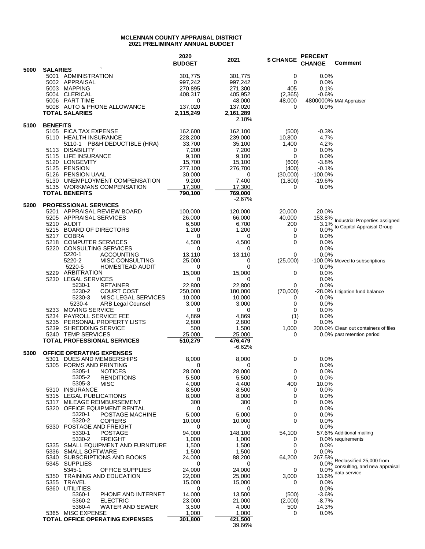#### **MCLENNAN COUNTY APPRAISAL DISTRICT 2021 PRELIMINARY ANNUAL BUDGET**

|      |                 |                                                |                                                            | 2020<br><b>BUDGET</b> | 2021                | <b>\$ CHANGE</b>    | <b>PERCENT</b><br><b>CHANGE</b> | <b>Comment</b>                                          |
|------|-----------------|------------------------------------------------|------------------------------------------------------------|-----------------------|---------------------|---------------------|---------------------------------|---------------------------------------------------------|
| 5000 | <b>SALARIES</b> | 5001 ADMINISTRATION                            |                                                            | 301,775               | 301,775             | 0                   | 0.0%                            |                                                         |
|      |                 | 5002 APPRAISAL                                 |                                                            | 997,242               | 997,242             | 0                   | 0.0%                            |                                                         |
|      |                 | 5003 MAPPING<br>5004 CLERICAL                  |                                                            | 270,895<br>408,317    | 271,300<br>405,952  | 405<br>(2, 365)     | 0.1%<br>$-0.6%$                 |                                                         |
|      |                 | 5006 PART TIME                                 |                                                            | 0                     | 48,000              | 48,000              |                                 | 4800000% MAI Appraiser                                  |
|      |                 |                                                | 5008 AUTO & PHONE ALLOWANCE                                | 137,020               | 137,020             | 0                   | 0.0%                            |                                                         |
|      |                 | <b>TOTAL SALARIES</b>                          |                                                            | 2,115,249             | 2,161,289<br>2.18%  |                     |                                 |                                                         |
| 5100 | <b>BENEFITS</b> |                                                |                                                            |                       |                     |                     |                                 |                                                         |
|      |                 | 5105 FICA TAX EXPENSE<br>5110 HEALTH INSURANCE |                                                            | 162,600<br>228,200    | 162,100<br>239,000  | (500)<br>10,800     | $-0.3%$<br>4.7%                 |                                                         |
|      |                 |                                                | 5110-1 PB&H DEDUCTIBLE (HRA)                               | 33,700                | 35,100              | 1,400               | 4.2%                            |                                                         |
|      |                 | 5113 DISABILITY<br>5115 LIFE INSURANCE         |                                                            | 7,200                 | 7,200               | 0<br>0              | 0.0%                            |                                                         |
|      |                 | 5120 LONGEVITY                                 |                                                            | 9,100<br>15,700       | 9,100<br>15,100     | (600)               | 0.0%<br>$-3.8%$                 |                                                         |
|      |                 | 5125 PENSION                                   |                                                            | 277,100               | 276,700             | (400)               | $-0.1%$                         |                                                         |
|      |                 | 5126 PENSION UAAL                              | 5130 UNEMPLOYMENT COMPENSATION                             | 30,000<br>9,200       | 0<br>7,400          | (30,000)<br>(1,800) | $-100.0%$<br>$-19.6%$           |                                                         |
|      |                 |                                                | 5135 WORKMANS COMPENSATION                                 | 17,300                | 17,300              | 0                   | 0.0%                            |                                                         |
|      |                 | <b>TOTAL BENEFITS</b>                          |                                                            | 790,100               | 769,000<br>$-2.67%$ |                     |                                 |                                                         |
| 5200 |                 | <b>PROFESSIONAL SERVICES</b>                   |                                                            |                       |                     |                     |                                 |                                                         |
|      |                 | 5205 APPRAISAL SERVICES                        | 5201 APPRAISAL REVIEW BOARD                                | 100,000               | 120,000             | 20,000              | 20.0%                           |                                                         |
|      | 5210 AUDIT      |                                                |                                                            | 26,000<br>6,500       | 66,000<br>6,700     | 40,000<br>200       | $3.1\%$                         | 153.8% Industrial Properties assigned                   |
|      |                 |                                                | 5215 BOARD OF DIRECTORS                                    | 1,200                 | 1,200               | 0                   | 0.0%                            | to Capitol Appraisal Group                              |
|      | 5217 COBRA      | 5218 COMPUTER SERVICES                         |                                                            | 0<br>4,500            | 0<br>4,500          | 0<br>0              | 0.0%<br>0.0%                    |                                                         |
|      | 5220            |                                                | <b>CONSULTING SERVICES</b>                                 | 0                     | 0                   |                     | 0.0%                            |                                                         |
|      |                 | 5220-1                                         | ACCOUNTING                                                 | 13,110                | 13,110              | 0                   | 0.0%                            |                                                         |
|      |                 | 5220-2<br>5220-5                               | <b>MISC CONSULTING</b><br><b>HOMESTEAD AUDIT</b>           | 25,000<br>0           | 0<br>$\Omega$       | (25,000)            | 0.0%                            | -100.0% Moved to subscriptions                          |
|      | 5229            | ARBITRATION                                    |                                                            | 15,000                | 15,000              | 0                   | 0.0%                            |                                                         |
|      | 5230            | LEGAL SERVICES<br>5230-1                       | <b>RETAINER</b>                                            | 0<br>22,800           | 0<br>22,800         | 0                   | 0.0%<br>$0.0\%$                 |                                                         |
|      |                 | 5230-2                                         | COURT COST                                                 | 250,000               | 180,000             | (70,000)            |                                 | -28.0% Litigation fund balance                          |
|      |                 | 5230-3<br>5230-4                               | <b>MISC LEGAL SERVICES</b><br>ARB Legal Counsel            | 10,000<br>3,000       | 10,000<br>3,000     | 0<br>0              | $0.0\%$<br>0.0%                 |                                                         |
|      |                 | 5233 MOVING SERVICE                            |                                                            | 0                     | 0                   | 0                   | 0.0%                            |                                                         |
|      |                 |                                                | 5234 PAYROLL SERVICE FEE                                   | 4,869                 | 4,869               | (1)                 | 0.0%                            |                                                         |
|      |                 | 5239 SHREDDING SERVICE                         | 5235 PERSONAL PROPERTY LISTS                               | 2,800<br>500          | 2,800<br>1,500      | 0<br>1,000          | 0.0%                            | 200.0% Clean out containers of files                    |
|      |                 | 5240 TEMP SERVICES                             |                                                            | 25,000                | 25,000              | 0                   |                                 | 0.0% past retention period                              |
|      |                 |                                                | <b>TOTAL PROFESSIONAL SERVICES</b>                         | 510,279               | 476,479<br>$-6.62%$ |                     |                                 |                                                         |
| 5300 |                 |                                                | <b>OFFICE OPERATING EXPENSES</b>                           | 8,000                 | 8,000               | 0                   | 0.0%                            |                                                         |
|      |                 | 5305 FORMS AND PRINTING                        | 5301 DUES AND MEMBERSHIPS                                  | 0                     | 0                   |                     | 0.0%                            |                                                         |
|      |                 | 5305-1                                         | <b>NOTICES</b>                                             | 28,000                | 28,000              | 0                   | 0.0%                            |                                                         |
|      |                 | 5305-2<br>5305-3                               | <b>RENDITIONS</b><br>MISC                                  | 5,500<br>4,000        | 5,500<br>4,400      | 0<br>400            | 0.0%<br>10.0%                   |                                                         |
|      |                 | 5310 INSURANCE                                 |                                                            | 8,500                 | 8,500               | 0                   | 0.0%                            |                                                         |
|      |                 | 5315 LEGAL PUBLICATIONS                        |                                                            | 8,000                 | 8,000               | 0                   | 0.0%                            |                                                         |
|      |                 |                                                | 5317 MILEAGE REIMBURSEMENT<br>5320 OFFICE EQUIPMENT RENTAL | 300<br>0              | 300<br>0            | 0                   | 0.0%<br>0.0%                    |                                                         |
|      |                 | 5320-1                                         | POSTAGE MACHINE                                            | 5,000                 | 5,000               | 0                   | 0.0%                            |                                                         |
|      |                 | 5320-2                                         | <b>COPIERS</b><br>5330 POSTAGE AND FREIGHT                 | 10,000<br>0           | 10,000<br>0         | 0                   | 0.0%<br>0.0%                    |                                                         |
|      |                 | 5330-1                                         | <b>POSTAGE</b>                                             | 94,000                | 148,100             | 54,100              |                                 | 57.6% Additional mailing                                |
|      |                 | 5330-2                                         | <b>FREIGHT</b><br>5335 SMALL EQUIPMENT AND FURNITURE       | 1,000<br>1,500        | 1,000<br>1,500      | 0<br>0              | $0.0\%$                         | 0.0% requirements                                       |
|      |                 | 5336 SMALL SOFTWARE                            |                                                            | 1,500                 | 1,500               | 0                   | 0.0%                            |                                                         |
|      |                 | 5345 SUPPLIES                                  | 5340 SUBSCRIPTIONS AND BOOKS                               | 24,000                | 88,200              | 64,200              |                                 | 267.5%<br>Reclassified 25,000 from                      |
|      |                 | 5345-1                                         | OFFICE SUPPLIES                                            | 0<br>24,000           | 0<br>24,000         | 0                   |                                 | 0.0% consulting, and new appraisal<br>0.0% data service |
|      |                 |                                                | 5350 TRAINING AND EDUCATION                                | 22,000                | 25,000              | 3,000               | 13.6%                           |                                                         |
|      |                 | 5355 TRAVEL<br>5360 UTILITIES                  |                                                            | 15,000<br>0           | 15,000<br>0         | 0                   | 0.0%<br>0.0%                    |                                                         |
|      |                 | 5360-1                                         | PHONE AND INTERNET                                         | 14,000                | 13,500              | (500)               | $-3.6%$                         |                                                         |
|      |                 | 5360-2<br>5360-4                               | <b>ELECTRIC</b><br><b>WATER AND SEWER</b>                  | 23,000                | 21,000              | (2,000)<br>500      | $-8.7%$<br>14.3%                |                                                         |
|      |                 | 5365 MISC EXPENSE                              |                                                            | 3,500<br>1,000        | 4,000<br>1,000      | 0                   | $0.0\%$                         |                                                         |
|      |                 |                                                | <b>TOTAL OFFICE OPERATING EXPENSES</b>                     | 301,800               | 421,500             |                     |                                 |                                                         |
|      |                 |                                                |                                                            |                       | 39.66%              |                     |                                 |                                                         |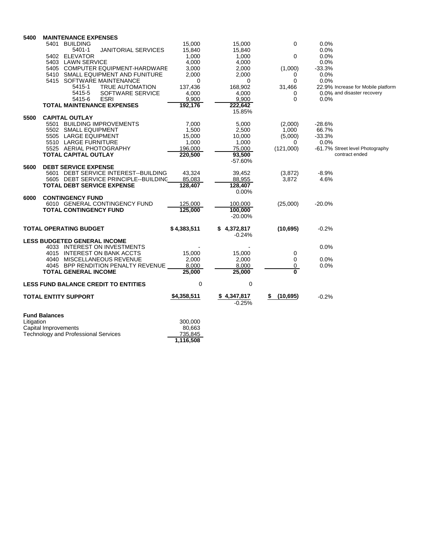| 5400       | <b>MAINTENANCE EXPENSES</b><br>5401 BUILDING                          | 15,000            | 15,000              | 0               | 0.0%                               |  |
|------------|-----------------------------------------------------------------------|-------------------|---------------------|-----------------|------------------------------------|--|
|            | <b>JANITORIAL SERVICES</b><br>5401-1                                  | 15,840            | 15,840              |                 | 0.0%                               |  |
|            | 5402 ELEVATOR                                                         | 1,000             | 1,000               | 0               | 0.0%                               |  |
|            | 5403 LAWN SERVICE                                                     | 4,000             | 4,000               |                 | 0.0%                               |  |
|            | 5405 COMPUTER EQUIPMENT-HARDWARE<br>5410 SMALL EQUIPMENT AND FUNITURE | 3,000<br>2.000    | 2,000<br>2.000      | (1,000)<br>0    | $-33.3%$<br>0.0%                   |  |
|            | 5415 SOFTWARE MAINTENANCE                                             | 0                 | 0                   | 0               | 0.0%                               |  |
|            | 5415-1<br><b>TRUE AUTOMATION</b>                                      | 137,436           | 168,902             | 31,466          | 22.9% Increase for Mobile platform |  |
|            | 5415-5<br>SOFTWARE SERVICE                                            | 4,000             | 4,000               | 0               | 0.0% and disaster recovery         |  |
|            | 5415-6<br><b>ESRI</b>                                                 | 9.900             | 9.900               | $\Omega$        | 0.0%                               |  |
|            | <b>TOTAL MAINTENANCE EXPENSES</b>                                     | 192,176           | 222,642             |                 |                                    |  |
| 5500       | <b>CAPITAL OUTLAY</b>                                                 |                   | 15.85%              |                 |                                    |  |
|            | 5501 BUILDING IMPROVEMENTS                                            | 7,000             | 5,000               | (2,000)         | $-28.6%$                           |  |
|            | 5502 SMALL EQUIPMENT                                                  | 1,500             | 2,500               | 1,000           | 66.7%                              |  |
|            | 5505 LARGE EQUIPMENT                                                  | 15,000            | 10,000              | (5,000)         | $-33.3%$                           |  |
|            | 5510 LARGE FURNITURE                                                  | 1,000             | 1,000               | 0               | 0.0%                               |  |
|            | 5525 AERIAL PHOTOGRAPHY                                               | 196,000           | 75,000              | (121,000)       | -61.7% Street level Photography    |  |
|            | <b>TOTAL CAPITAL OUTLAY</b>                                           | 220,500           | 93,500<br>$-57.60%$ |                 | contract ended                     |  |
| 5600       | <b>DEBT SERVICE EXPENSE</b>                                           |                   |                     |                 |                                    |  |
|            | 5601 DEBT SERVICE INTEREST--BUILDING                                  | 43,324            | 39,452              | (3,872)         | $-8.9%$                            |  |
|            | 5605 DEBT SERVICE PRINCIPLE--BUILDINC                                 | 85,083            | 88,955              | 3,872           | 4.6%                               |  |
|            | <b>TOTAL DEBT SERVICE EXPENSE</b>                                     | 128,407           | 128,407             |                 |                                    |  |
|            |                                                                       |                   | 0.00%               |                 |                                    |  |
| 6000       | <b>CONTINGENCY FUND</b><br>6010 GENERAL CONTINGENCY FUND              | 125,000           | 100,000             | (25,000)        | $-20.0%$                           |  |
|            | <b>TOTAL CONTINGENCY FUND</b>                                         | 125.000           | 100.000             |                 |                                    |  |
|            |                                                                       |                   | $-20.00\%$          |                 |                                    |  |
|            | <b>TOTAL OPERATING BUDGET</b>                                         | \$4,383,511       | \$4,372,817         | (10,695)        | $-0.2%$                            |  |
|            |                                                                       |                   | $-0.24%$            |                 |                                    |  |
|            | <b>LESS BUDGETED GENERAL INCOME</b><br>4033 INTEREST ON INVESTMENTS   |                   |                     |                 | 0.0%                               |  |
|            | 4015 INTEREST ON BANK ACCTS                                           | 15,000            | 15,000              | 0               |                                    |  |
|            | 4040 MISCELLANEOUS REVENUE                                            | 2.000             | 2,000               | 0               | 0.0%                               |  |
|            | 4045 BPP RENDITION PENALTY REVENUE                                    | 8,000             | 8,000               | 0               | 0.0%                               |  |
|            | <b>TOTAL GENERAL INCOME</b>                                           | 25,000            | 25,000              | 0               |                                    |  |
|            | <b>LESS FUND BALANCE CREDIT TO ENTITIES</b>                           | $\mathbf 0$       | 0                   |                 |                                    |  |
|            | <b>TOTAL ENTITY SUPPORT</b>                                           | \$4,358,511       | \$4,347,817         | (10, 695)<br>\$ | $-0.2%$                            |  |
|            |                                                                       |                   | $-0.25%$            |                 |                                    |  |
|            | <b>Fund Balances</b>                                                  |                   |                     |                 |                                    |  |
| Litigation | Capital Improvements                                                  | 300,000<br>80,663 |                     |                 |                                    |  |
|            | <b>Technology and Professional Services</b>                           | 735,845           |                     |                 |                                    |  |
|            |                                                                       | 1,116,508         |                     |                 |                                    |  |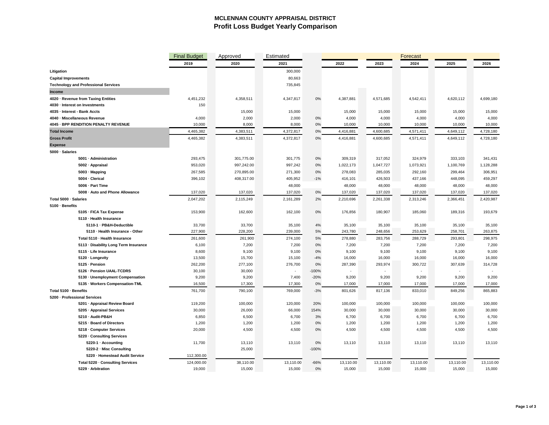### **MCLENNAN COUNTY APPRAISAL DISTRICT Profit Loss Budget Yearly Comparison**

|                                             | <b>Final Budget</b> | Approved   | Estimated |         |           | Forecast  |           |           |           |
|---------------------------------------------|---------------------|------------|-----------|---------|-----------|-----------|-----------|-----------|-----------|
|                                             | 2019                | 2020       | 2021      |         | 2022      | 2023      | 2024      | 2025      | 2026      |
| Litigation                                  |                     |            | 300,000   |         |           |           |           |           |           |
| <b>Capital Improvements</b>                 |                     |            | 80,663    |         |           |           |           |           |           |
| <b>Technology and Professional Services</b> |                     |            | 735,845   |         |           |           |           |           |           |
| Income                                      |                     |            |           |         |           |           |           |           |           |
| 4020 · Revenue from Taxing Entities         | 4,451,232           | 4,358,511  | 4,347,817 | 0%      | 4,387,881 | 4,571,685 | 4,542,411 | 4,620,112 | 4,699,180 |
| 4030 · Interest on Investments              | 150                 |            |           |         |           |           |           |           |           |
| 4035 · Interest - Bank Accts                |                     | 15,000     | 15,000    |         | 15,000    | 15,000    | 15,000    | 15,000    | 15,000    |
| 4040 · Miscellaneous Revenue                | 4,000               | 2,000      | 2,000     | 0%      | 4,000     | 4,000     | 4,000     | 4,000     | 4,000     |
| 4045 · BPP RENDITION PENALTY REVENUE        | 10,000              | 8,000      | 8,000     | 0%      | 10,000    | 10,000    | 10,000    | 10,000    | 10,000    |
| <b>Total Income</b>                         | 4,465,382           | 4,383,511  | 4,372,817 | 0%      | 4,416,881 | 4,600,685 | 4,571,411 | 4,649,112 | 4,728,180 |
| <b>Gross Profit</b>                         | 4,465,382           | 4,383,511  | 4,372,817 | $0\%$   | 4,416,881 | 4,600,685 | 4,571,411 | 4,649,112 | 4,728,180 |
| <b>Expense</b>                              |                     |            |           |         |           |           |           |           |           |
| 5000 · Salaries                             |                     |            |           |         |           |           |           |           |           |
| 5001 · Administration                       | 293,475             | 301,775.00 | 301,775   | 0%      | 309,319   | 317,052   | 324,979   | 333,103   | 341,431   |
| 5002 · Appraisal                            | 953,020             | 997,242.00 | 997,242   | 0%      | 1,022,173 | 1,047,727 | 1,073,921 | 1,100,769 | 1,128,288 |
| 5003 · Mapping                              | 267,585             | 270,895.00 | 271,300   | 0%      | 278,083   | 285,035   | 292,160   | 299,464   | 306,951   |
| 5004 · Clerical                             | 396,102             | 408,317.00 | 405,952   | $-1%$   | 416,101   | 426,503   | 437,166   | 448,095   | 459,297   |
| 5006 · Part Time                            |                     |            | 48,000    |         | 48,000    | 48,000    | 48,000    | 48,000    | 48,000    |
| 5008 · Auto and Phone Allowance             | 137,020             | 137,020    | 137,020   | 0%      | 137,020   | 137,020   | 137,020   | 137,020   | 137,020   |
| Total 5000 · Salaries                       | 2,047,202           | 2,115,249  | 2,161,289 | 2%      | 2,210,696 | 2,261,338 | 2,313,246 | 2,366,451 | 2,420,987 |
| 5100 · Benefits                             |                     |            |           |         |           |           |           |           |           |
| 5105 · FICA Tax Expense                     | 153,900             | 162,600    | 162,100   | 0%      | 176,856   | 180,907   | 185,060   | 189,316   | 193,679   |
| 5110 · Health Insurance                     |                     |            |           |         |           |           |           |           |           |
| 5110-1 · PB&H-Deductible                    | 33,700              | 33,700     | 35,100    | 4%      | 35,100    | 35,100    | 35,100    | 35,100    | 35,100    |
| 5110 · Health Insurance - Other             | 227,900             | 228,200    | 239,000   | 5%      | 243,780   | 248,656   | 253,629   | 258,701   | 263,875   |
| Total 5110 · Health Insurance               | 261,600             | 261,900    | 274,100   | 5%      | 278,880   | 283,756   | 288,729   | 293,801   | 298,975   |
| 5113 · Disability Long Term Insurance       | 6,100               | 7,200      | 7,200     | 0%      | 7,200     | 7,200     | 7,200     | 7,200     | 7,200     |
| 5115 · Life Insurance                       | 8,600               | 9,100      | 9,100     | 0%      | 9,100     | 9,100     | 9,100     | 9,100     | 9,100     |
| 5120 · Longevity                            | 13,500              | 15,700     | 15,100    | $-4%$   | 16,000    | 16,000    | 16,000    | 16,000    | 16,000    |
| 5125 · Pension                              | 262,200             | 277,100    | 276,700   | 0%      | 287,390   | 293,974   | 300,722   | 307,639   | 314,728   |
| 5126 · Pension UAAL-TCDRS                   | 30,100              | 30,000     |           | $-100%$ |           |           |           |           |           |
| 5130 · Unemployment Compensation            | 9,200               | 9,200      | 7,400     | $-20%$  | 9,200     | 9,200     | 9,200     | 9,200     | 9,200     |
| 5135 · Workers Compensation-TML             | 16,500              | 17,300     | 17,300    | 0%      | 17,000    | 17,000    | 17,000    | 17,000    | 17,000    |
| Total 5100 · Benefits                       | 761,700             | 790,100    | 769,000   | $-3%$   | 801,626   | 817,136   | 833,010   | 849,256   | 865,883   |
| 5200 · Professional Services                |                     |            |           |         |           |           |           |           |           |
| 5201 · Appraisal Review Board               | 119,200             | 100,000    | 120,000   | 20%     | 100,000   | 100,000   | 100,000   | 100,000   | 100,000   |
| 5205 · Appraisal Services                   | 30,000              | 26,000     | 66,000    | 154%    | 30,000    | 30,000    | 30,000    | 30,000    | 30,000    |
| 5210 · Audit-PB&H                           | 6,850               | 6,500      | 6,700     | 3%      | 6,700     | 6,700     | 6,700     | 6,700     | 6,700     |
| 5215 · Board of Directors                   | 1,200               | 1,200      | 1,200     | 0%      | 1,200     | 1,200     | 1,200     | 1,200     | 1,200     |
| 5218 Computer Services                      | 20,000              | 4,500      | 4,500     | 0%      | 4,500     | 4,500     | 4,500     | 4,500     | 4,500     |
| 5220 · Consulting Services                  |                     |            |           |         |           |           |           |           |           |
| 5220-1 · Accounting                         | 11,700              | 13,110     | 13,110    | 0%      | 13,110    | 13,110    | 13,110    | 13,110    | 13,110    |
| 5220-2 · Misc Consulting                    |                     | 25,000     |           | $-100%$ |           |           |           |           |           |
| 5220 · Homestead Audit Service              | 112,300.00          |            |           |         |           |           |           |           |           |
| Total 5220 · Consulting Services            | 124,000.00          | 38,110.00  | 13,110.00 | $-66%$  | 13,110.00 | 13,110.00 | 13,110.00 | 13,110.00 | 13,110.00 |
| 5229 · Arbitration                          | 19,000              | 15,000     | 15,000    | 0%      | 15,000    | 15,000    | 15,000    | 15,000    | 15,000    |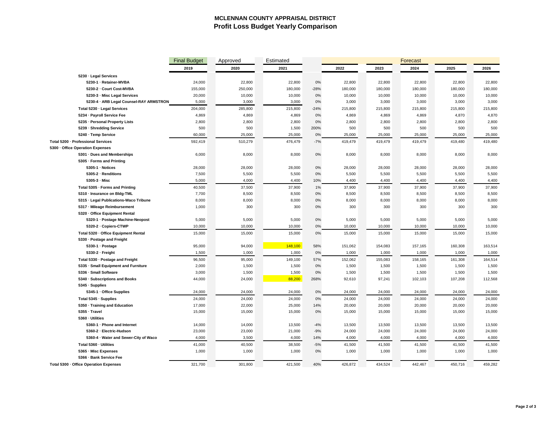### **MCLENNAN COUNTY APPRAISAL DISTRICT Profit Loss Budget Yearly Comparison**

|                                         | <b>Final Budget</b> | Approved | Estimated | <b>Forecast</b> |         |         |         |         |         |
|-----------------------------------------|---------------------|----------|-----------|-----------------|---------|---------|---------|---------|---------|
|                                         | 2019                | 2020     | 2021      |                 | 2022    | 2023    | 2024    | 2025    | 2026    |
| 5230 · Legal Services                   |                     |          |           |                 |         |         |         |         |         |
| 5230-1 · Retainer-MVBA                  | 24,000              | 22,800   | 22,800    | 0%              | 22,800  | 22,800  | 22,800  | 22,800  | 22,800  |
| 5230-2 Court Cost-MVBA                  | 155,000             | 250,000  | 180,000   | $-28%$          | 180,000 | 180,000 | 180,000 | 180,000 | 180,000 |
| 5230-3 · Misc Legal Services            | 20,000              | 10,000   | 10,000    | 0%              | 10,000  | 10,000  | 10,000  | 10,000  | 10,000  |
| 5230-4 · ARB Legal Counsel-RAY ARMSTRON | 5,000               | 3,000    | 3,000     | 0%              | 3,000   | 3,000   | 3,000   | 3,000   | 3,000   |
| Total 5230 · Legal Services             | 204,000             | 285,800  | 215,800   | $-24%$          | 215,800 | 215,800 | 215,800 | 215,800 | 215,800 |
| 5234 · Payroll Service Fee              | 4,869               | 4,869    | 4,869     | 0%              | 4,869   | 4,869   | 4,869   | 4,870   | 4,870   |
| 5235 · Personal Property Lists          | 2,800               | 2,800    | 2,800     | 0%              | 2,800   | 2,800   | 2,800   | 2,800   | 2,800   |
| 5239 · Shredding Service                | 500                 | 500      | 1,500     | 200%            | 500     | 500     | 500     | 500     | 500     |
| 5240 · Temp Service                     | 60,000              | 25,000   | 25,000    | 0%              | 25,000  | 25,000  | 25,000  | 25,000  | 25,000  |
| Total 5200 · Professional Services      | 592,419             | 510,279  | 476,479   | $-7%$           | 419,479 | 419,479 | 419,479 | 419,480 | 419,480 |
| 5300 · Office Operation Expenses        |                     |          |           |                 |         |         |         |         |         |
| 5301 · Dues and Memberships             | 6,000               | 8,000    | 8,000     | 0%              | 8,000   | 8,000   | 8,000   | 8,000   | 8,000   |
| 5305 · Forms and Printing               |                     |          |           |                 |         |         |         |         |         |
| 5305-1 · Notices                        | 28,000              | 28,000   | 28,000    | 0%              | 28,000  | 28,000  | 28,000  | 28,000  | 28,000  |
| 5305-2 · Renditions                     | 7,500               | 5,500    | 5,500     | 0%              | 5,500   | 5,500   | 5,500   | 5,500   | 5,500   |
| $5305-3$ $\cdot$ Misc                   | 5,000               | 4,000    | 4,400     | 10%             | 4,400   | 4,400   | 4,400   | 4,400   | 4,400   |
| Total 5305 · Forms and Printing         | 40,500              | 37,500   | 37,900    | 1%              | 37,900  | 37,900  | 37,900  | 37,900  | 37,900  |
| 5310 · Insurance on Bldg-TML            | 7,700               | 8,500    | 8,500     | 0%              | 8,500   | 8,500   | 8,500   | 8,500   | 8,500   |
| 5315 · Legal Publications-Waco Tribune  | 8,000               | 8,000    | 8,000     | 0%              | 8,000   | 8,000   | 8,000   | 8,000   | 8,000   |
| 5317 · Mileage Reimbursement            | 1,000               | 300      | 300       | 0%              | 300     | 300     | 300     | 300     | 300     |
| 5320 · Office Equipment Rental          |                     |          |           |                 |         |         |         |         |         |
| 5320-1 · Postage Machine-Neopost        | 5,000               | 5,000    | 5,000     | 0%              | 5,000   | 5,000   | 5,000   | 5,000   | 5,000   |
| 5320-2 · Copiers-CTWP                   | 10,000              | 10,000   | 10,000    | 0%              | 10,000  | 10,000  | 10,000  | 10,000  | 10,000  |
| Total 5320 · Office Equipment Rental    | 15,000              | 15,000   | 15,000    | 0%              | 15,000  | 15,000  | 15,000  | 15,000  | 15,000  |
| 5330 · Postage and Freight              |                     |          |           |                 |         |         |         |         |         |
| 5330-1 · Postage                        | 95,000              | 94,000   | 148,100   | 58%             | 151,062 | 154,083 | 157,165 | 160,308 | 163,514 |
| 5330-2 · Freight                        | 1,500               | 1,000    | 1,000     | 0%              | 1,000   | 1,000   | 1,000   | 1,000   | 1,000   |
| Total 5330 · Postage and Freight        | 96,500              | 95,000   | 149,100   | 57%             | 152,062 | 155,083 | 158,165 | 161,308 | 164,514 |
| 5335 · Small Equipment and Furniture    | 2,000               | 1,500    | 1,500     | 0%              | 1,500   | 1,500   | 1,500   | 1,500   | 1,500   |
| 5336 · Small Software                   | 3,000               | 1,500    | 1,500     | 0%              | 1,500   | 1,500   | 1,500   | 1,500   | 1,500   |
| 5340 · Subscriptions and Books          | 44,000              | 24,000   | 88,200    | 268%            | 92,610  | 97,241  | 102,103 | 107,208 | 112,568 |
| 5345 · Supplies                         |                     |          |           |                 |         |         |         |         |         |
| 5345-1 · Office Supplies                | 24,000              | 24,000   | 24,000    | 0%              | 24,000  | 24,000  | 24,000  | 24,000  | 24,000  |
| Total 5345 · Supplies                   | 24,000              | 24,000   | 24,000    | 0%              | 24,000  | 24,000  | 24,000  | 24,000  | 24,000  |
| 5350 · Training and Education           | 17,000              | 22,000   | 25,000    | 14%             | 20,000  | 20,000  | 20,000  | 20,000  | 20,000  |
| 5355 · Travel                           | 15,000              | 15,000   | 15,000    | 0%              | 15,000  | 15,000  | 15,000  | 15,000  | 15,000  |
| 5360 · Utilities                        |                     |          |           |                 |         |         |         |         |         |
| 5360-1 · Phone and Internet             | 14,000              | 14,000   | 13,500    | $-4%$           | 13,500  | 13,500  | 13,500  | 13,500  | 13,500  |
| 5360-2 · Electric-Hudson                | 23,000              | 23,000   | 21,000    | $-9%$           | 24,000  | 24,000  | 24,000  | 24,000  | 24,000  |
| 5360-4 · Water and Sewer-City of Waco   | 4,000               | 3,500    | 4,000     | 14%             | 4,000   | 4,000   | 4,000   | 4,000   | 4,000   |
| Total 5360 · Utilities                  | 41,000              | 40,500   | 38,500    | $-5%$           | 41,500  | 41,500  | 41,500  | 41,500  | 41,500  |
| 5365 · Misc Expenses                    | 1,000               | 1,000    | 1,000     | 0%              | 1,000   | 1,000   | 1,000   | 1,000   | 1,000   |
| 5366 · Bank Service Fee                 |                     |          |           |                 |         |         |         |         |         |
| Total 5300 · Office Operation Expenses  | 321,700             | 301,800  | 421,500   | 40%             | 426,872 | 434,524 | 442,467 | 450,716 | 459,282 |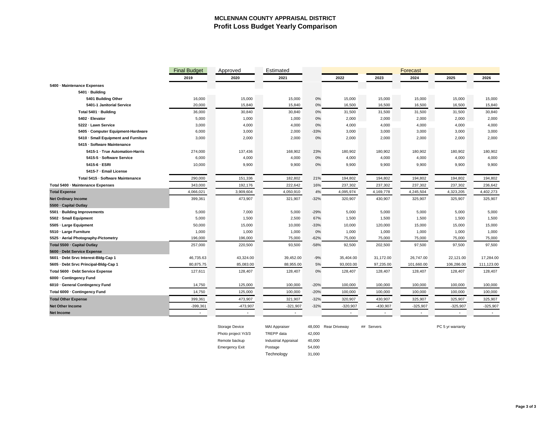### **MCLENNAN COUNTY APPRAISAL DISTRICT Profit Loss Budget Yearly Comparison**

|                                       | <b>Final Budget</b> | Approved  | Estimated  |        |            |            | <b>Forecast</b> |            |            |  |
|---------------------------------------|---------------------|-----------|------------|--------|------------|------------|-----------------|------------|------------|--|
|                                       | 2019                | 2020      | 2021       |        | 2022       | 2023       | 2024            | 2025       | 2026       |  |
| 5400 · Maintenance Expenses           |                     |           |            |        |            |            |                 |            |            |  |
| 5401 · Building                       |                     |           |            |        |            |            |                 |            |            |  |
| 5401 Building Other                   | 16,000              | 15,000    | 15,000     | $0\%$  | 15,000     | 15,000     | 15,000          | 15,000     | 15,000     |  |
| 5401-1 Janitorial Service             | 20,000              | 15,840    | 15,840     | 0%     | 16,500     | 16,500     | 16,500          | 16,500     | 15,840     |  |
| Total 5401 · Building                 | 36,000              | 30,840    | 30,840     | 0%     | 31,500     | 31,500     | 31,500          | 31,500     | 30,840     |  |
| 5402 · Elevator                       | 5,000               | 1,000     | 1,000      | 0%     | 2,000      | 2,000      | 2,000           | 2,000      | 2,000      |  |
| 5222 · Lawn Service                   | 3,000               | 4,000     | 4,000      | 0%     | 4,000      | 4,000      | 4,000           | 4,000      | 4,000      |  |
| 5405 · Computer Equipment-Hardware    | 6,000               | 3,000     | 2,000      | $-33%$ | 3,000      | 3,000      | 3,000           | 3,000      | 3,000      |  |
| 5410 · Small Equipment and Furniture  | 3,000               | 2,000     | 2,000      | 0%     | 2,000      | 2,000      | 2,000           | 2,000      | 2,000      |  |
| 5415 · Software Maintenance           |                     |           |            |        |            |            |                 |            |            |  |
| 5415-1 · True Automation-Harris       | 274,000             | 137,436   | 168,902    | 23%    | 180,902    | 180,902    | 180,902         | 180,902    | 180,902    |  |
| 5415-5 · Software Service             | 6,000               | 4,000     | 4,000      | 0%     | 4,000      | 4,000      | 4,000           | 4,000      | 4,000      |  |
| 5415-6 · ESRI                         | 10,000              | 9,900     | 9,900      | 0%     | 9,900      | 9,900      | 9,900           | 9,900      | 9,900      |  |
| 5415-7 · Email License                |                     |           |            |        |            |            |                 |            |            |  |
| Total 5415 · Software Maintenance     | 290,000             | 151,336   | 182,802    | 21%    | 194,802    | 194,802    | 194,802         | 194,802    | 194,802    |  |
| Total 5400 · Maintenance Expenses     | 343,000             | 192,176   | 222,642    | 16%    | 237,302    | 237,302    | 237,302         | 237,302    | 236,642    |  |
| <b>Total Expense</b>                  | 4,066,021           | 3,909,604 | 4,050,910  | 4%     | 4,095,974  | 4,169,778  | 4,245,504       | 4,323,205  | 4,402,273  |  |
| <b>Net Ordinary Income</b>            | 399,361             | 473,907   | 321,907    | $-32%$ | 320,907    | 430,907    | 325,907         | 325,907    | 325,907    |  |
| 5500 · Capital Outlay                 |                     |           |            |        |            |            |                 |            |            |  |
| 5501 · Building Improvements          | 5,000               | 7,000     | 5,000      | $-29%$ | 5,000      | 5,000      | 5,000           | 5,000      | 5,000      |  |
| 5502 · Small Equipment                | 5,000               | 1,500     | 2,500      | 67%    | 1,500      | 1,500      | 1,500           | 1,500      | 1,500      |  |
| 5505 · Large Equipment                | 50,000              | 15,000    | 10,000     | $-33%$ | 10,000     | 120,000    | 15,000          | 15,000     | 15,000     |  |
| 5510 · Large Furniture                | 1,000               | 1,000     | 1,000      | 0%     | 1,000      | 1,000      | 1,000           | 1,000      | 1,000      |  |
| 5525 · Aerial Photography-Pictometry  | 196,000             | 196,000   | 75,000     | $-62%$ | 75,000     | 75,000     | 75,000          | 75,000     | 75,000     |  |
| Total 5500 · Capital Outlay           | 257,000             | 220,500   | 93,500     | $-58%$ | 92,500     | 202,500    | 97,500          | 97,500     | 97,500     |  |
| 5600 · Debt Service Expense           |                     |           |            |        |            |            |                 |            |            |  |
| 5601 · Debt Srvc Interest-Bldg-Cap 1  | 46,735.63           | 43,324.00 | 39,452.00  | $-9%$  | 35,404.00  | 31,172.00  | 26,747.00       | 22,121.00  | 17,284.00  |  |
| 5605 · Debt Srvc Principal-Bldg-Cap 1 | 80,875.75           | 85,083.00 | 88,955.00  | 5%     | 93,003.00  | 97,235.00  | 101,660.00      | 106,286.00 | 111,123.00 |  |
| Total 5600 · Debt Service Expense     | 127,611             | 128,407   | 128,407    | 0%     | 128,407    | 128,407    | 128,407         | 128,407    | 128,407    |  |
| 6000 · Contingency Fund               |                     |           |            |        |            |            |                 |            |            |  |
| 6010 · General Contingency Fund       | 14,750              | 125,000   | 100,000    | $-20%$ | 100,000    | 100,000    | 100,000         | 100,000    | 100,000    |  |
| Total 6000 · Contingency Fund         | 14,750              | 125,000   | 100,000    | $-20%$ | 100,000    | 100,000    | 100,000         | 100,000    | 100,000    |  |
| <b>Total Other Expense</b>            | 399,361             | 473,907   | 321,907    | $-32%$ | 320,907    | 430,907    | 325,907         | 325,907    | 325,907    |  |
| <b>Net Other Income</b>               | $-399,361$          | -473,907  | $-321,907$ | $-32%$ | $-320,907$ | $-430,907$ | $-325,907$      | $-325,907$ | $-325,907$ |  |
| Net Income                            |                     |           |            |        |            |            |                 |            |            |  |

| <b>Storage Device</b> |  |
|-----------------------|--|
| Photo project Yr3/3   |  |
| Remote backup         |  |
| <b>Emergency Exit</b> |  |

TREPP data  $42,000$ 

Industrial Appraisal 40,000

MAI Appraiser 48,000 Rear Driveway ## Servers extended that the PC 5 yr warranty

Postage 54,000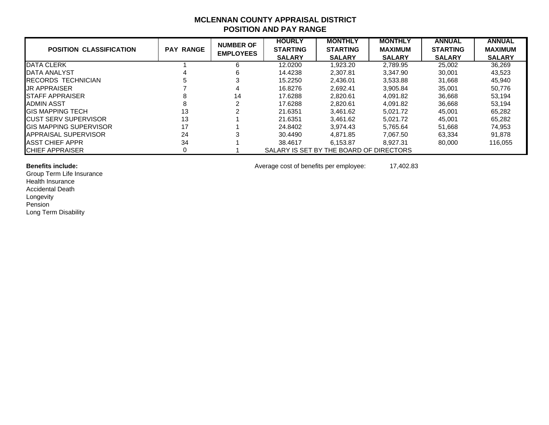## **MCLENNAN COUNTY APPRAISAL DISTRICT POSITION AND PAY RANGE**

|                                |                  | <b>NUMBER OF</b> | <b>HOURLY</b>   | <b>MONTHLY</b>                          | <b>MONTHLY</b> | <b>ANNUAL</b>   | <b>ANNUAL</b>  |
|--------------------------------|------------------|------------------|-----------------|-----------------------------------------|----------------|-----------------|----------------|
| <b>POSITION CLASSIFICATION</b> | <b>PAY RANGE</b> | <b>EMPLOYEES</b> | <b>STARTING</b> | <b>STARTING</b>                         | <b>MAXIMUM</b> | <b>STARTING</b> | <b>MAXIMUM</b> |
|                                |                  |                  | <b>SALARY</b>   | <b>SALARY</b>                           | <b>SALARY</b>  | <b>SALARY</b>   | <b>SALARY</b>  |
| DATA CLERK                     |                  | 6                | 12.0200         | 1,923.20                                | 2,789.95       | 25,002          | 36,269         |
| <b>IDATA ANALYST</b>           |                  | 6                | 14.4238         | 2.307.81                                | 3.347.90       | 30,001          | 43,523         |
| <b>IRECORDS TECHNICIAN</b>     |                  |                  | 15.2250         | 2,436.01                                | 3,533.88       | 31,668          | 45,940         |
| <b>JR APPRAISER</b>            |                  |                  | 16.8276         | 2.692.41                                | 3.905.84       | 35.001          | 50,776         |
| <b>ISTAFF APPRAISER</b>        |                  | 14               | 17.6288         | 2,820.61                                | 4.091.82       | 36,668          | 53,194         |
| ADMIN ASST                     |                  |                  | 17.6288         | 2.820.61                                | 4.091.82       | 36,668          | 53,194         |
| <b>GIS MAPPING TECH</b>        | 13               |                  | 21.6351         | 3.461.62                                | 5.021.72       | 45.001          | 65,282         |
| <b>ICUST SERV SUPERVISOR</b>   | 13               |                  | 21.6351         | 3.461.62                                | 5.021.72       | 45.001          | 65,282         |
| <b>GIS MAPPING SUPERVISOR</b>  | 17               |                  | 24.8402         | 3.974.43                                | 5.765.64       | 51,668          | 74,953         |
| <b>IAPPRAISAL SUPERVISOR</b>   | 24               |                  | 30.4490         | 4,871.85                                | 7.067.50       | 63,334          | 91,878         |
| <b>IASST CHIEF APPR</b>        | 34               |                  | 38.4617         | 6.153.87                                | 8.927.31       | 80,000          | 116.055        |
| <b>ICHIEF APPRAISER</b>        |                  |                  |                 | SALARY IS SET BY THE BOARD OF DIRECTORS |                |                 |                |

Group Term Life Insurance Health Insurance Accidental Death Longevity Pension Long Term Disability

**Benefits include:** 17,402.83